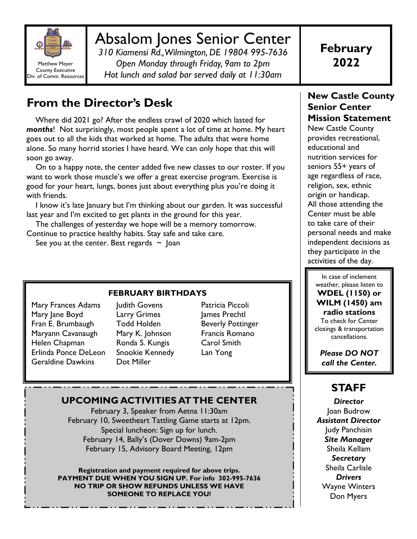

# Absalom Jones Senior Center

*310 Kiamensi Rd., Wilmington, DE 19804 995-7636 Open Monday through Friday, 9am to 2pm Hot lunch and salad bar served daily at 11:30am* 

# **From the Director's Desk**

 Where did 2021 go? After the endless crawl of 2020 which lasted for *months*! Not surprisingly, most people spent a lot of time at home. My heart goes out to all the kids that worked at home. The adults that were home alone. So many horrid stories I have heard. We can only hope that this will soon go away.

 On to a happy note, the center added five new classes to our roster. If you want to work those muscle's we offer a great exercise program. Exercise is good for your heart, lungs, bones just about everything plus you're doing it with friends.

 I know it's late January but I'm thinking about our garden. It was successful last year and I'm excited to get plants in the ground for this year.

 The challenges of yesterday we hope will be a memory tomorrow. Continue to practice healthy habits. Stay safe and take care.

See you at the center. Best regards  $\sim$  Joan

#### **FEBRUARY BIRTHDAYS**

Mary Frances Adams Mary Jane Boyd Fran E. Brumbaugh Maryann Cavanaugh Helen Chapman Erlinda Ponce DeLeon Geraldine Dawkins

Judith Govens Larry Grimes Todd Holden Mary K. Johnson Ronda S. Kungis Snookie Kennedy Dot Miller

Patricia Piccoli James Prechtl Beverly Pottinger Francis Romano Carol Smith Lan Yong

## **UPCOMING ACTIVITIES AT THE CENTER**

February 3, Speaker from Aetna 11:30am February 10, Sweetheart Tattling Game starts at 12pm. Special luncheon: Sign up for lunch. February 14, Bally's (Dover Downs) 9am-2pm February 15, Advisory Board Meeting, 12pm

**Registration and payment required for above trips. PAYMENT DUE WHEN YOU SIGN UP. For info 302-995-7636 NO TRIP OR SHOW REFUNDS UNLESS WE HAVE SOMEONE TO REPLACE YOU!** 

### **New Castle County Senior Center Mission Statement**

New Castle County provides recreational, educational and nutrition services for seniors 55+ years of age regardless of race, religion, sex, ethnic origin or handicap. All those attending the Center must be able to take care of their personal needs and make independent decisions as they participate in the activities of the day.

In case of inclement weather, please listen to **WDEL (1150) or WILM (1450) am radio stations** To check for Center closings & transportation cancellations.

*Please DO NOT call the Center.* 

# **STAFF**

*Director*  Joan Budrow *Assistant Director*  Judy Panchisin *Site Manager* Sheila Kellam *Secretary*  Sheila Carlisle *Drivers*  Wayne Winters Don Myers

**February 2022**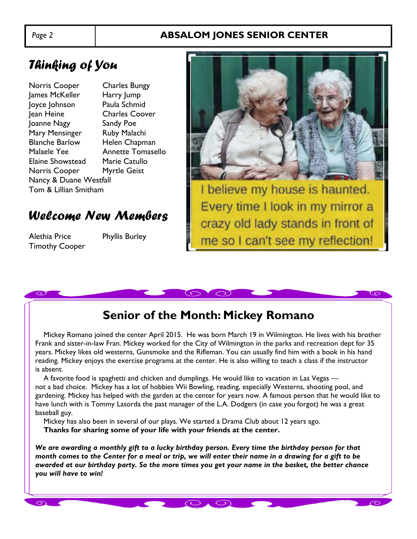## *Page 2* **ABSALOM JONES SENIOR CENTER**

# *Thinking of You*

Norris Cooper Charles Bungy James McKeller Harry Jump Joyce Johnson Paula Schmid Jean Heine Charles Coover Joanne Nagy Sandy Poe Mary Mensinger Ruby Malachi Blanche Barlow Helen Chapman Malaele Yee Annette Tomasello Elaine Showstead Marie Catullo Norris Cooper Myrtle Geist Nancy & Duane Westfall Tom & Lillian Smitham

# *Welcome New Members*

Alethia Price Phyllis Burley Timothy Cooper



# **Senior of the Month: Mickey Romano**

 $\bigcirc$ 

 Mickey Romano joined the center April 2015. He was born March 19 in Wilmington. He lives with his brother Frank and sister-in-law Fran. Mickey worked for the City of Wilmington in the parks and recreation dept for 35 years. Mickey likes old westerns, Gunsmoke and the Rifleman. You can usually find him with a book in his hand reading. Mickey enjoys the exercise programs at the center. He is also willing to teach a class if the instructor is absent.

 A favorite food is spaghetti and chicken and dumplings. He would like to vacation in Las Vegas not a bad choice. Mickey has a lot of hobbies Wii Bowling, reading, especially Westerns, shooting pool, and gardening. Mickey has helped with the garden at the center for years now. A famous person that he would like to have lunch with is Tommy Lasorda the past manager of the L.A. Dodgers (in case you forgot) he was a great baseball guy.

 Mickey has also been in several of our plays. We started a Drama Club about 12 years ago.  **Thanks for sharing some of your life with your friends at the center.** 

*We are awarding a monthly gift to a lucky birthday person. Every time the birthday person for that month comes to the Center for a meal or trip, we will enter their name in a drawing for a gift to be awarded at our birthday party. So the more times you get your name in the basket, the better chance you will have to win!*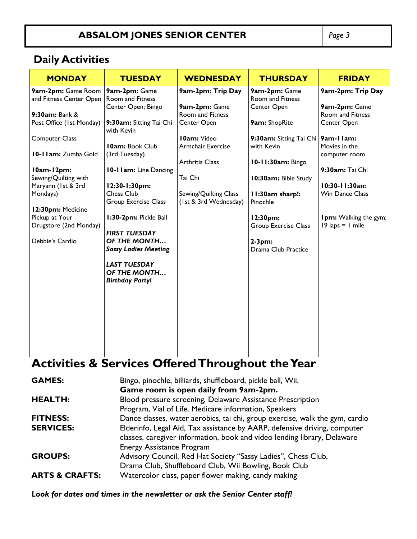# **ABSALOM JONES SENIOR CENTER** *Page 3*

## **Daily Activities**

| <b>MONDAY</b>                            | <b>TUESDAY</b>                         | <b>WEDNESDAY</b>       | <b>THURSDAY</b>                         | <b>FRIDAY</b>                                               |
|------------------------------------------|----------------------------------------|------------------------|-----------------------------------------|-------------------------------------------------------------|
| 9am-2pm: Game Room                       | 9am-2pm: Game                          | 9am-2pm: Trip Day      | 9am-2pm: Game                           | 9am-2pm: Trip Day                                           |
| and Fitness Center Open                  | Room and Fitness<br>Center Open; Bingo | 9am-2pm: Game          | <b>Room and Fitness</b><br>Center Open  | 9am-2pm: Game                                               |
| 9:30am: Bank &                           |                                        | Room and Fitness       |                                         | <b>Room and Fitness</b>                                     |
| Post Office (1st Monday)                 | 9:30am: Sitting Tai Chi<br>with Kevin  | Center Open            | 9am: ShopRite                           | Center Open                                                 |
| <b>Computer Class</b>                    |                                        | <b>I0am: Video</b>     | 9:30am: Sitting Tai Chi                 | 9am-11am:                                                   |
|                                          | <b>10am: Book Club</b>                 | Armchair Exercise      | with Kevin                              | Movies in the                                               |
| 10-11am: Zumba Gold                      | (3rd Tuesday)                          |                        |                                         | computer room                                               |
| I0am-12pm:                               | 10-1 Iam: Line Dancing                 | <b>Arthritis Class</b> | 10-11:30am: Bingo                       | 9:30am: Tai Chi                                             |
| Sewing/Quilting with                     |                                        | Tai Chi                | 10:30am: Bible Study                    |                                                             |
| Maryann (1st & 3rd                       | 12:30-1:30pm:                          |                        |                                         | 10:30-11:30an:                                              |
| Mondays)                                 | Chess Club                             | Sewing/Quilting Class  | I I:30am sharp!:                        | <b>Win Dance Class</b>                                      |
|                                          | <b>Group Exercise Class</b>            | (1st & 3rd Wednesday)  | Pinochle                                |                                                             |
| 12:30pm: Medicine                        |                                        |                        |                                         |                                                             |
| Pickup at Your<br>Drugstore (2nd Monday) | 1:30-2pm: Pickle Ball                  |                        | 12:30pm:<br><b>Group Exercise Class</b> | Ipm: Walking the gym:<br>$19 \text{ laps} = 1 \text{ mile}$ |
|                                          | <b>FIRST TUESDAY</b>                   |                        |                                         |                                                             |
| Debbie's Cardio                          | OF THE MONTH                           |                        | $2-3pm:$                                |                                                             |
|                                          | <b>Sassy Ladies Meeting</b>            |                        | Drama Club Practice                     |                                                             |
|                                          | <b>LAST TUESDAY</b>                    |                        |                                         |                                                             |
|                                          | OF THE MONTH                           |                        |                                         |                                                             |
|                                          | <b>Birthday Party!</b>                 |                        |                                         |                                                             |
|                                          |                                        |                        |                                         |                                                             |
|                                          |                                        |                        |                                         |                                                             |
|                                          |                                        |                        |                                         |                                                             |
|                                          |                                        |                        |                                         |                                                             |
|                                          |                                        |                        |                                         |                                                             |
|                                          |                                        |                        |                                         |                                                             |
|                                          |                                        |                        |                                         |                                                             |

# **Activities & Services Offered Throughout the Year**

| <b>GAMES:</b>             | Bingo, pinochle, billiards, shuffleboard, pickle ball, Wii.                                                                                                                               |
|---------------------------|-------------------------------------------------------------------------------------------------------------------------------------------------------------------------------------------|
|                           | Game room is open daily from 9am-2pm.                                                                                                                                                     |
| <b>HEALTH:</b>            | Blood pressure screening, Delaware Assistance Prescription                                                                                                                                |
|                           | Program, Vial of Life, Medicare information, Speakers                                                                                                                                     |
| <b>FITNESS:</b>           | Dance classes, water aerobics, tai chi, group exercise, walk the gym, cardio                                                                                                              |
| <b>SERVICES:</b>          | Elderinfo, Legal Aid, Tax assistance by AARP, defensive driving, computer<br>classes, caregiver information, book and video lending library, Delaware<br><b>Energy Assistance Program</b> |
| <b>GROUPS:</b>            | Advisory Council, Red Hat Society "Sassy Ladies", Chess Club,                                                                                                                             |
| <b>ARTS &amp; CRAFTS:</b> | Drama Club, Shuffleboard Club, Wii Bowling, Book Club<br>Watercolor class, paper flower making, candy making                                                                              |

*Look for dates and times in the newsletter or ask the Senior Center staff!*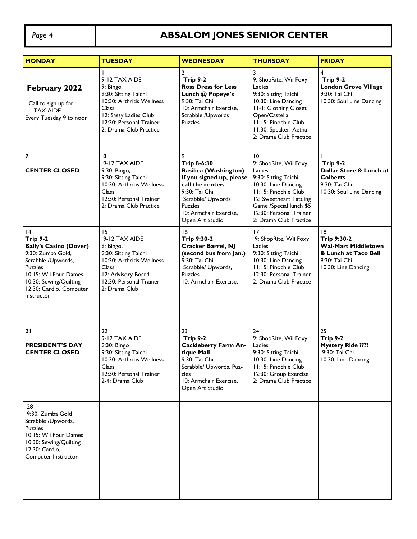# Page 4 **ABSALOM JONES SENIOR CENTER**

| <b>MONDAY</b>                                                                                                                                                                                           | <b>TUESDAY</b>                                                                                                                                                        | <b>WEDNESDAY</b>                                                                                                                                                                                       | <b>THURSDAY</b>                                                                                                                                                                                                         | <b>FRIDAY</b>                                                                                                              |
|---------------------------------------------------------------------------------------------------------------------------------------------------------------------------------------------------------|-----------------------------------------------------------------------------------------------------------------------------------------------------------------------|--------------------------------------------------------------------------------------------------------------------------------------------------------------------------------------------------------|-------------------------------------------------------------------------------------------------------------------------------------------------------------------------------------------------------------------------|----------------------------------------------------------------------------------------------------------------------------|
| <b>February 2022</b><br>Call to sign up for<br><b>TAX AIDE</b><br>Every Tuesday 9 to noon                                                                                                               | 9-12 TAX AIDE<br>9: Bingo<br>9:30: Sitting Taichi<br>10:30: Arthritis Wellness<br>Class<br>12: Sassy Ladies Club<br>12:30: Personal Trainer<br>2: Drama Club Practice | $\mathbf{2}$<br>Trip 9-2<br><b>Ross Dress for Less</b><br>Lunch @ Popeye's<br>9:30: Tai Chi<br>10: Armchair Exercise,<br>Scrabble /Upwords<br><b>Puzzles</b>                                           | 3<br>9: ShopRite, Wii Foxy<br>Ladies<br>9:30: Sitting Taichi<br>10:30: Line Dancing<br><b>II-I: Clothing Closet</b><br>Open/Castella<br>11:15: Pinochle Club<br>II:30: Speaker: Aetna<br>2: Drama Club Practice         | $\overline{4}$<br>Trip 9-2<br><b>London Grove Village</b><br>9:30: Tai Chi<br>10:30: Soul Line Dancing                     |
| $\overline{\mathbf{z}}$<br><b>CENTER CLOSED</b>                                                                                                                                                         | 8<br>9-12 TAX AIDE<br>9:30: Bingo,<br>9:30: Sitting Taichi<br>10:30: Arthritis Wellness<br>Class<br>12:30: Personal Trainer<br>2: Drama Club Practice                 | 9<br>Trip 8-6:30<br><b>Basilica (Washington)</b><br>If you signed up, please<br>call the center.<br>9:30: Tai Chi.<br>Scrabble/ Upwords<br><b>Puzzles</b><br>10: Armchair Exercise,<br>Open Art Studio | 10<br>9: ShopRite, Wii Foxy<br>Ladies<br>9:30: Sitting Taichi<br>10:30: Line Dancing<br>11:15: Pinochle Club<br>12: Sweetheart Tattling<br>Game /Special lunch \$5<br>12:30: Personal Trainer<br>2: Drama Club Practice | $\mathbf{H}$<br><b>Trip 9-2</b><br>Dollar Store & Lunch at<br><b>Colberts</b><br>9:30: Tai Chi<br>10:30: Soul Line Dancing |
| 4<br><b>Trip 9-2</b><br><b>Bally's Casino (Dover)</b><br>9:30: Zumba Gold,<br>Scrabble /Upwords,<br>Puzzles<br>10:15: Wii Four Dames<br>10:30: Sewing/Quilting<br>12:30: Cardio, Computer<br>Instructor | 15<br>9-12 TAX AIDE<br>9: Bingo,<br>9:30: Sitting Taichi<br>10:30: Arthritis Wellness<br>Class<br>12: Advisory Board<br>12:30: Personal Trainer<br>2: Drama Club      | 16<br>Trip 9:30-2<br><b>Cracker Barrel, NJ</b><br>(second bus from Jan.)<br>9:30: Tai Chi<br>Scrabble/ Upwords,<br><b>Puzzles</b><br>10: Armchair Exercise,                                            | 17<br>9: ShopRite, Wii Foxy<br>Ladies<br>9:30: Sitting Taichi<br>10:30: Line Dancing<br>11:15: Pinochle Club<br>12:30: Personal Trainer<br>2: Drama Club Practice                                                       | 18<br>Trip 9:30-2<br><b>Wal-Mart Middletown</b><br>& Lunch at Taco Bell<br>9:30: Tai Chi<br>10:30: Line Dancing            |
| 21<br><b>PRESIDENT'S DAY</b><br><b>CENTER CLOSED</b>                                                                                                                                                    | 22<br>9-12 TAX AIDE<br>9:30: Bingo<br>9:30: Sitting Taichi<br>10:30: Arthritis Wellness<br>Class<br>12:30: Personal Trainer<br>2-4: Drama Club                        | 23<br>Trip 9-2<br><b>Cackleberry Farm An-</b><br>tique Mall<br>9:30: I ai Chi<br>Scrabble/ Upwords, Puz-<br>zles<br>10: Armchair Exercise,<br>Open Art Studio                                          | 24<br>9: ShopRite, Wii Foxy<br>Ladies<br>9:30: Sitting Taichi<br>10:30: Line Dancing<br>11:15: Pinochle Club<br>12:30: Group Exercise<br>2: Drama Club Practice                                                         | 25<br><b>Trip 9-2</b><br><b>Mystery Ride ????</b><br>9:30: Tai Chi<br>10:30: Line Dancing                                  |
| 28<br>9:30: Zumba Gold<br>Scrabble /Upwords,<br><b>Puzzles</b><br>10:15: Wii Four Dames<br>10:30: Sewing/Quilting<br>12:30: Cardio,<br>Computer Instructor                                              |                                                                                                                                                                       |                                                                                                                                                                                                        |                                                                                                                                                                                                                         |                                                                                                                            |